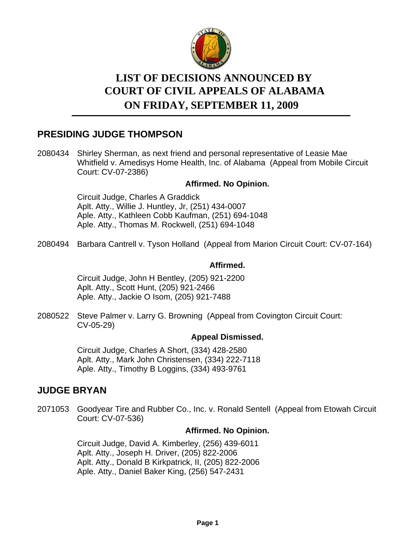

# **LIST OF DECISIONS ANNOUNCED BY ON FRIDAY, SEPTEMBER 11, 2009 COURT OF CIVIL APPEALS OF ALABAMA**

# **PRESIDING JUDGE THOMPSON**

2080434 Shirley Sherman, as next friend and personal representative of Leasie Mae Whitfield v. Amedisys Home Health, Inc. of Alabama (Appeal from Mobile Circuit Court: CV-07-2386)

# **Affirmed. No Opinion.**

Circuit Judge, Charles A Graddick Aplt. Atty., Willie J. Huntley, Jr, (251) 434-0007 Aple. Atty., Kathleen Cobb Kaufman, (251) 694-1048 Aple. Atty., Thomas M. Rockwell, (251) 694-1048

2080494 Barbara Cantrell v. Tyson Holland (Appeal from Marion Circuit Court: CV-07-164)

# **Affirmed.**

Circuit Judge, John H Bentley, (205) 921-2200 Aplt. Atty., Scott Hunt, (205) 921-2466 Aple. Atty., Jackie O Isom, (205) 921-7488

2080522 Steve Palmer v. Larry G. Browning (Appeal from Covington Circuit Court: CV-05-29)

#### **Appeal Dismissed.**

Circuit Judge, Charles A Short, (334) 428-2580 Aplt. Atty., Mark John Christensen, (334) 222-7118 Aple. Atty., Timothy B Loggins, (334) 493-9761

# **JUDGE BRYAN**

2071053 Goodyear Tire and Rubber Co., Inc. v. Ronald Sentell (Appeal from Etowah Circuit Court: CV-07-536)

### **Affirmed. No Opinion.**

Circuit Judge, David A. Kimberley, (256) 439-6011 Aplt. Atty., Joseph H. Driver, (205) 822-2006 Aplt. Atty., Donald B Kirkpatrick, II, (205) 822-2006 Aple. Atty., Daniel Baker King, (256) 547-2431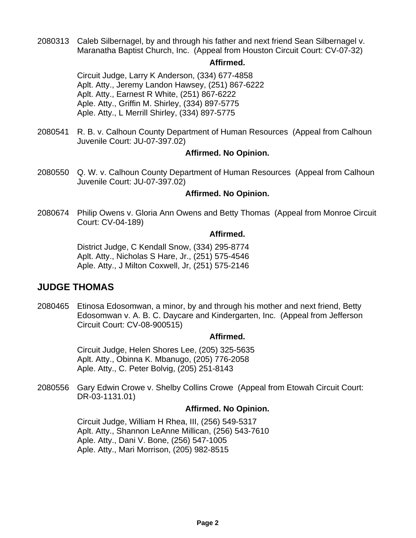2080313 Caleb Silbernagel, by and through his father and next friend Sean Silbernagel v. Maranatha Baptist Church, Inc. (Appeal from Houston Circuit Court: CV-07-32)

#### **Affirmed.**

Circuit Judge, Larry K Anderson, (334) 677-4858 Aplt. Atty., Jeremy Landon Hawsey, (251) 867-6222 Aplt. Atty., Earnest R White, (251) 867-6222 Aple. Atty., Griffin M. Shirley, (334) 897-5775 Aple. Atty., L Merrill Shirley, (334) 897-5775

2080541 R.B. v. Calhoun County Department of Human Resources (Appeal from Calhoun Juvenile Court: JU-07-397.02)

### **Affirmed. No Opinion.**

2080550 Q. W. v. Calhoun County Department of Human Resources (Appeal from Calhoun Juvenile Court: JU-07-397.02)

### **Affirmed. No Opinion.**

2080674 Philip Owens v. Gloria Ann Owens and Betty Thomas (Appeal from Monroe Circuit Court: CV-04-189)

### **Affirmed.**

District Judge, C Kendall Snow, (334) 295-8774 Aplt. Atty., Nicholas S Hare, Jr., (251) 575-4546 Aple. Atty., J Milton Coxwell, Jr, (251) 575-2146

# **JUDGE THOMAS**

2080465 Etinosa Edosomwan, a minor, by and through his mother and next friend, Betty Edosomwan v. A. B. C. Daycare and Kindergarten, Inc. (Appeal from Jefferson Circuit Court: CV-08-900515)

#### **Affirmed.**

Circuit Judge, Helen Shores Lee, (205) 325-5635 Aplt. Atty., Obinna K. Mbanugo, (205) 776-2058 Aple. Atty., C. Peter Bolvig, (205) 251-8143

2080556 Gary Edwin Crowe v. Shelby Collins Crowe (Appeal from Etowah Circuit Court: DR-03-1131.01)

### **Affirmed. No Opinion.**

Circuit Judge, William H Rhea, III, (256) 549-5317 Aplt. Atty., Shannon LeAnne Millican, (256) 543-7610 Aple. Atty., Dani V. Bone, (256) 547-1005 Aple. Atty., Mari Morrison, (205) 982-8515